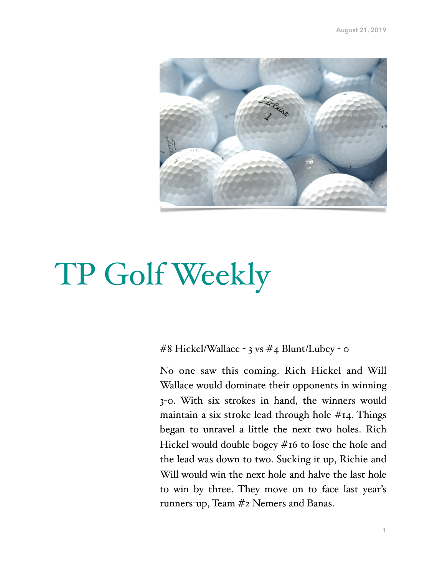

# TP Golf Weekly

#8 Hickel/Wallace - 3 vs #4 Blunt/Lubey - 0

No one saw this coming. Rich Hickel and Will Wallace would dominate their opponents in winning 3-0. With six strokes in hand, the winners would maintain a six stroke lead through hole  $#_{14}$ . Things began to unravel a little the next two holes. Rich Hickel would double bogey #16 to lose the hole and the lead was down to two. Sucking it up, Richie and Will would win the next hole and halve the last hole to win by three. They move on to face last year's runners-up, Team #2 Nemers and Banas.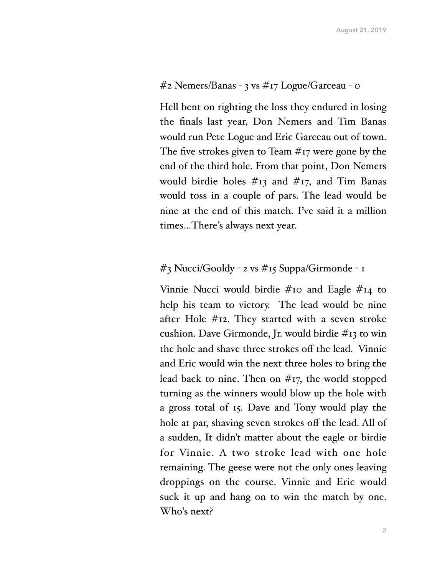#### #2 Nemers/Banas - 3 vs #17 Logue/Garceau - 0

Hell bent on righting the loss they endured in losing the finals last year, Don Nemers and Tim Banas would run Pete Logue and Eric Garceau out of town. The five strokes given to Team #17 were gone by the end of the third hole. From that point, Don Nemers would birdie holes  $\#$ 13 and  $\#$ 17, and Tim Banas would toss in a couple of pars. The lead would be nine at the end of this match. I've said it a million times…There's always next year.

### #3 Nucci/Gooldy - 2 vs #15 Suppa/Girmonde - 1

Vinnie Nucci would birdie #10 and Eagle #14 to help his team to victory. The lead would be nine after Hole #12. They started with a seven stroke cushion. Dave Girmonde, Jr. would birdie #13 to win the hole and shave three strokes off the lead. Vinnie and Eric would win the next three holes to bring the lead back to nine. Then on  $\#_{17}$ , the world stopped turning as the winners would blow up the hole with a gross total of 15. Dave and Tony would play the hole at par, shaving seven strokes off the lead. All of a sudden, It didn't matter about the eagle or birdie for Vinnie. A two stroke lead with one hole remaining. The geese were not the only ones leaving droppings on the course. Vinnie and Eric would suck it up and hang on to win the match by one. Who's next?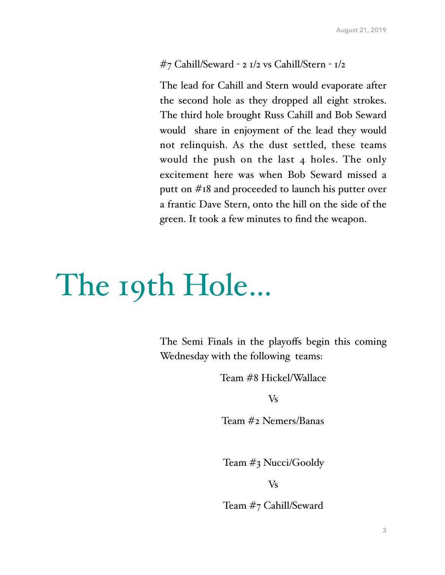#### #7 Cahill/Seward - 2 1/2 vs Cahill/Stern - 1/2

The lead for Cahill and Stern would evaporate after the second hole as they dropped all eight strokes. The third hole brought Russ Cahill and Bob Seward would share in enjoyment of the lead they would not relinquish. As the dust settled, these teams would the push on the last 4 holes. The only excitement here was when Bob Seward missed a putt on #18 and proceeded to launch his putter over a frantic Dave Stern, onto the hill on the side of the green. It took a few minutes to find the weapon.

## The 19th Hole…

The Semi Finals in the playoffs begin this coming Wednesday with the following teams:

Team #8 Hickel/Wallace

Vs

Team #2 Nemers/Banas

Team #3 Nucci/Gooldy

Vs

Team #7 Cahill/Seward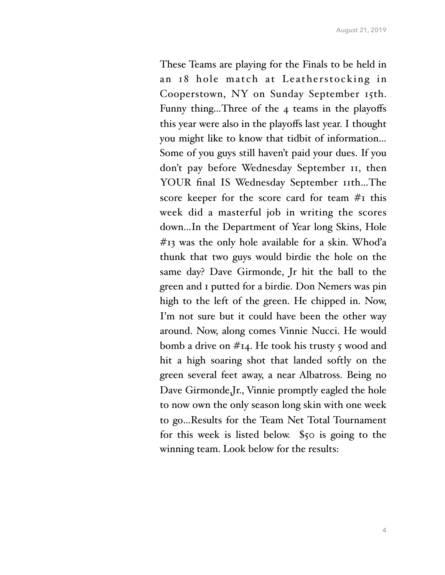These Teams are playing for the Finals to be held in an 18 hole match at Leatherstocking in Cooperstown, NY on Sunday September 15th. Funny thing...Three of the 4 teams in the playoffs this year were also in the playoffs last year. I thought you might like to know that tidbit of information… Some of you guys still haven't paid your dues. If you don't pay before Wednesday September 11, then YOUR final IS Wednesday September 11th...The score keeper for the score card for team #1 this week did a masterful job in writing the scores down…In the Department of Year long Skins, Hole  $#13$  was the only hole available for a skin. Whod'a thunk that two guys would birdie the hole on the same day? Dave Girmonde, Jr hit the ball to the green and 1 putted for a birdie. Don Nemers was pin high to the left of the green. He chipped in. Now, I'm not sure but it could have been the other way around. Now, along comes Vinnie Nucci. He would bomb a drive on  $#_{14}$ . He took his trusty 5 wood and hit a high soaring shot that landed softly on the green several feet away, a near Albatross. Being no Dave Girmonde,Jr., Vinnie promptly eagled the hole to now own the only season long skin with one week to go…Results for the Team Net Total Tournament for this week is listed below. \$50 is going to the winning team. Look below for the results: